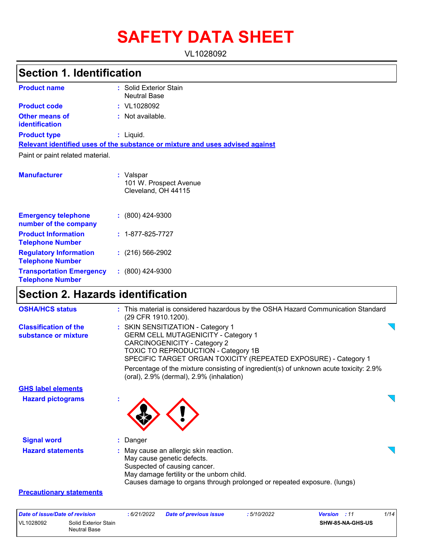# **SAFETY DATA SHEET**

VL1028092

# **Section 1. Identification**

| <b>Product name</b>                     | : Solid Exterior Stain<br><b>Neutral Base</b>                                 |
|-----------------------------------------|-------------------------------------------------------------------------------|
| <b>Product code</b>                     | $:$ VL1028092                                                                 |
| Other means of<br><b>identification</b> | $:$ Not available.                                                            |
| <b>Product type</b>                     | : Liquid.                                                                     |
|                                         | Relevant identified uses of the substance or mixture and uses advised against |
| Paint or paint related material.        |                                                                               |
| <b>Manufacturer</b>                     | : Valspar<br>101 W. Prospect Avenue<br>Cleveland, OH 44115                    |

| <b>Emergency telephone</b><br>number of the company        | $: (800)$ 424-9300       |
|------------------------------------------------------------|--------------------------|
| <b>Product Information</b><br><b>Telephone Number</b>      | $: 1 - 877 - 825 - 7727$ |
| <b>Regulatory Information</b><br><b>Telephone Number</b>   | $(216)$ 566-2902         |
| <b>Transportation Emergency</b><br><b>Telephone Number</b> | $: (800)$ 424-9300       |

## **Section 2. Hazards identification**

| <b>OSHA/HCS status</b>                               | : This material is considered hazardous by the OSHA Hazard Communication Standard<br>(29 CFR 1910.1200).                                                                                                                         |  |
|------------------------------------------------------|----------------------------------------------------------------------------------------------------------------------------------------------------------------------------------------------------------------------------------|--|
| <b>Classification of the</b><br>substance or mixture | : SKIN SENSITIZATION - Category 1<br><b>GERM CELL MUTAGENICITY - Category 1</b><br><b>CARCINOGENICITY - Category 2</b><br>TOXIC TO REPRODUCTION - Category 1B<br>SPECIFIC TARGET ORGAN TOXICITY (REPEATED EXPOSURE) - Category 1 |  |
|                                                      | Percentage of the mixture consisting of ingredient(s) of unknown acute toxicity: 2.9%<br>(oral), 2.9% (dermal), 2.9% (inhalation)                                                                                                |  |
| <b>GHS label elements</b>                            |                                                                                                                                                                                                                                  |  |
| <b>Hazard pictograms</b>                             |                                                                                                                                                                                                                                  |  |
| <b>Signal word</b>                                   | : Danger                                                                                                                                                                                                                         |  |
| <b>Hazard statements</b>                             | : May cause an allergic skin reaction.<br>May cause genetic defects.<br>Suspected of causing cancer.<br>May damage fertility or the unborn child.<br>Causes damage to organs through prolonged or repeated exposure. (lungs)     |  |
| <b>Precautionary statements</b>                      |                                                                                                                                                                                                                                  |  |

| Date of issue/Date of revision |                                      | : 6/21/2022 | <b>Date of previous issue</b> | : 5/10/2022 | <b>Version</b> : 11     | 1/14 |
|--------------------------------|--------------------------------------|-------------|-------------------------------|-------------|-------------------------|------|
| VL1028092                      | Solid Exterior Stain<br>Neutral Base |             |                               |             | <b>SHW-85-NA-GHS-US</b> |      |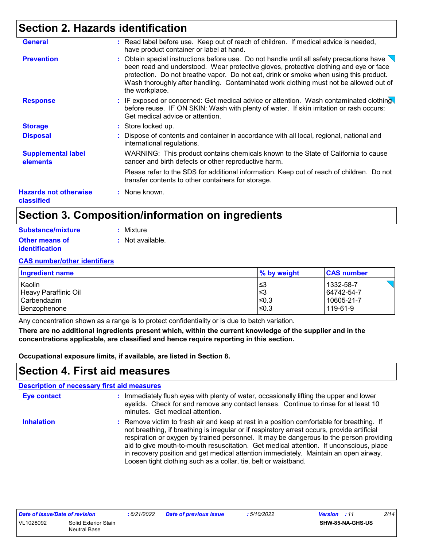### **Section 2. Hazards identification**

| <b>General</b>                             | : Read label before use. Keep out of reach of children. If medical advice is needed,<br>have product container or label at hand.                                                                                                                                                                                                                                                                   |
|--------------------------------------------|----------------------------------------------------------------------------------------------------------------------------------------------------------------------------------------------------------------------------------------------------------------------------------------------------------------------------------------------------------------------------------------------------|
| <b>Prevention</b>                          | : Obtain special instructions before use. Do not handle until all safety precautions have $\setminus$<br>been read and understood. Wear protective gloves, protective clothing and eye or face<br>protection. Do not breathe vapor. Do not eat, drink or smoke when using this product.<br>Wash thoroughly after handling. Contaminated work clothing must not be allowed out of<br>the workplace. |
| <b>Response</b>                            | : IF exposed or concerned: Get medical advice or attention. Wash contaminated clothing<br>before reuse. IF ON SKIN: Wash with plenty of water. If skin irritation or rash occurs:<br>Get medical advice or attention.                                                                                                                                                                              |
| <b>Storage</b>                             | : Store locked up.                                                                                                                                                                                                                                                                                                                                                                                 |
| <b>Disposal</b>                            | : Dispose of contents and container in accordance with all local, regional, national and<br>international regulations.                                                                                                                                                                                                                                                                             |
| <b>Supplemental label</b><br>elements      | WARNING: This product contains chemicals known to the State of California to cause<br>cancer and birth defects or other reproductive harm.                                                                                                                                                                                                                                                         |
|                                            | Please refer to the SDS for additional information. Keep out of reach of children. Do not<br>transfer contents to other containers for storage.                                                                                                                                                                                                                                                    |
| <b>Hazards not otherwise</b><br>classified | : None known.                                                                                                                                                                                                                                                                                                                                                                                      |

## **Section 3. Composition/information on ingredients**

| Substance/mixture     | : Mixture        |
|-----------------------|------------------|
| <b>Other means of</b> | : Not available. |
| <i>identification</i> |                  |

#### **CAS number/other identifiers**

| <b>Ingredient name</b> | $\%$ by weight | <b>CAS number</b> |
|------------------------|----------------|-------------------|
| Kaolin                 | l≤3            | 1332-58-7         |
| Heavy Paraffinic Oil   | l≤3            | 64742-54-7        |
| Carbendazim            | ≤0.3           | 10605-21-7        |
| Benzophenone           | l≤0.3          | 119-61-9          |

Any concentration shown as a range is to protect confidentiality or is due to batch variation.

**There are no additional ingredients present which, within the current knowledge of the supplier and in the concentrations applicable, are classified and hence require reporting in this section.**

**Occupational exposure limits, if available, are listed in Section 8.**

### **Section 4. First aid measures**

|                    | <b>Description of necessary first aid measures</b>                                                                                                                                                                                                                                                                                                                                                                                                                                                                                        |
|--------------------|-------------------------------------------------------------------------------------------------------------------------------------------------------------------------------------------------------------------------------------------------------------------------------------------------------------------------------------------------------------------------------------------------------------------------------------------------------------------------------------------------------------------------------------------|
| <b>Eye contact</b> | : Immediately flush eyes with plenty of water, occasionally lifting the upper and lower<br>eyelids. Check for and remove any contact lenses. Continue to rinse for at least 10<br>minutes. Get medical attention.                                                                                                                                                                                                                                                                                                                         |
| <b>Inhalation</b>  | : Remove victim to fresh air and keep at rest in a position comfortable for breathing. If<br>not breathing, if breathing is irregular or if respiratory arrest occurs, provide artificial<br>respiration or oxygen by trained personnel. It may be dangerous to the person providing<br>aid to give mouth-to-mouth resuscitation. Get medical attention. If unconscious, place<br>in recovery position and get medical attention immediately. Maintain an open airway.<br>Loosen tight clothing such as a collar, tie, belt or waistband. |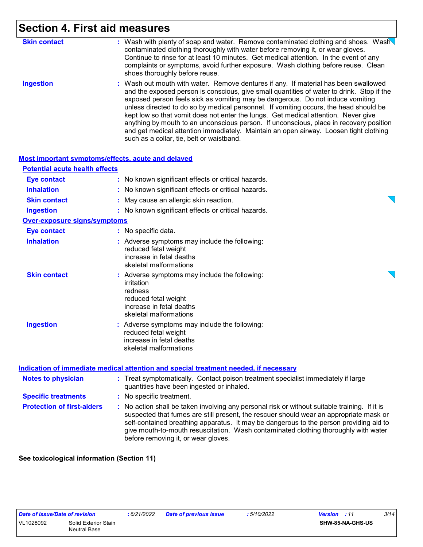# **Section 4. First aid measures**

| <b>Skin contact</b> | : Wash with plenty of soap and water. Remove contaminated clothing and shoes. Wash<br>contaminated clothing thoroughly with water before removing it, or wear gloves.<br>Continue to rinse for at least 10 minutes. Get medical attention. In the event of any<br>complaints or symptoms, avoid further exposure. Wash clothing before reuse. Clean<br>shoes thoroughly before reuse.                                                                                                                                                                                                                                                                                             |
|---------------------|-----------------------------------------------------------------------------------------------------------------------------------------------------------------------------------------------------------------------------------------------------------------------------------------------------------------------------------------------------------------------------------------------------------------------------------------------------------------------------------------------------------------------------------------------------------------------------------------------------------------------------------------------------------------------------------|
| <b>Ingestion</b>    | : Wash out mouth with water. Remove dentures if any. If material has been swallowed<br>and the exposed person is conscious, give small quantities of water to drink. Stop if the<br>exposed person feels sick as vomiting may be dangerous. Do not induce vomiting<br>unless directed to do so by medical personnel. If vomiting occurs, the head should be<br>kept low so that vomit does not enter the lungs. Get medical attention. Never give<br>anything by mouth to an unconscious person. If unconscious, place in recovery position<br>and get medical attention immediately. Maintain an open airway. Loosen tight clothing<br>such as a collar, tie, belt or waistband. |

|                                       | <b>Most important symptoms/effects, acute and delayed</b>                                                                                            |  |
|---------------------------------------|------------------------------------------------------------------------------------------------------------------------------------------------------|--|
| <b>Potential acute health effects</b> |                                                                                                                                                      |  |
| Eye contact                           | : No known significant effects or critical hazards.                                                                                                  |  |
| <b>Inhalation</b>                     | : No known significant effects or critical hazards.                                                                                                  |  |
| <b>Skin contact</b>                   | : May cause an allergic skin reaction.                                                                                                               |  |
| <b>Ingestion</b>                      | : No known significant effects or critical hazards.                                                                                                  |  |
| <b>Over-exposure signs/symptoms</b>   |                                                                                                                                                      |  |
| <b>Eye contact</b>                    | : No specific data.                                                                                                                                  |  |
| <b>Inhalation</b>                     | : Adverse symptoms may include the following:<br>reduced fetal weight<br>increase in fetal deaths<br>skeletal malformations                          |  |
| <b>Skin contact</b>                   | : Adverse symptoms may include the following:<br>irritation<br>redness<br>reduced fetal weight<br>increase in fetal deaths<br>skeletal malformations |  |
| <b>Ingestion</b>                      | : Adverse symptoms may include the following:<br>reduced fetal weight<br>increase in fetal deaths<br>skeletal malformations                          |  |
|                                       | Indication of immediate medical attention and special treatment needed, if necessary                                                                 |  |

| <b>Notes to physician</b>         | : Treat symptomatically. Contact poison treatment specialist immediately if large<br>quantities have been ingested or inhaled.                                                                                                                                                                                                                                                                                  |  |
|-----------------------------------|-----------------------------------------------------------------------------------------------------------------------------------------------------------------------------------------------------------------------------------------------------------------------------------------------------------------------------------------------------------------------------------------------------------------|--|
| <b>Specific treatments</b>        | : No specific treatment.                                                                                                                                                                                                                                                                                                                                                                                        |  |
| <b>Protection of first-aiders</b> | : No action shall be taken involving any personal risk or without suitable training. If it is<br>suspected that fumes are still present, the rescuer should wear an appropriate mask or<br>self-contained breathing apparatus. It may be dangerous to the person providing aid to<br>give mouth-to-mouth resuscitation. Wash contaminated clothing thoroughly with water<br>before removing it, or wear gloves. |  |

**See toxicological information (Section 11)**

*Date of issue/Date of revision* **:** *6/21/2022 Date of previous issue : 5/10/2022 Version : 11 3/14*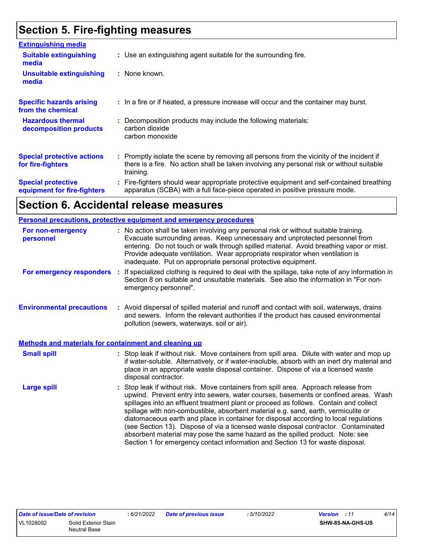# **Section 5. Fire-fighting measures**

| <b>Extinguishing media</b>                               |                                                                                                                                                                                                     |
|----------------------------------------------------------|-----------------------------------------------------------------------------------------------------------------------------------------------------------------------------------------------------|
| <b>Suitable extinguishing</b><br>media                   | : Use an extinguishing agent suitable for the surrounding fire.                                                                                                                                     |
| <b>Unsuitable extinguishing</b><br>media                 | : None known.                                                                                                                                                                                       |
| <b>Specific hazards arising</b><br>from the chemical     | : In a fire or if heated, a pressure increase will occur and the container may burst.                                                                                                               |
| <b>Hazardous thermal</b><br>decomposition products       | : Decomposition products may include the following materials:<br>carbon dioxide<br>carbon monoxide                                                                                                  |
| <b>Special protective actions</b><br>for fire-fighters   | : Promptly isolate the scene by removing all persons from the vicinity of the incident if<br>there is a fire. No action shall be taken involving any personal risk or without suitable<br>training. |
| <b>Special protective</b><br>equipment for fire-fighters | Fire-fighters should wear appropriate protective equipment and self-contained breathing<br>apparatus (SCBA) with a full face-piece operated in positive pressure mode.                              |

## **Section 6. Accidental release measures**

|                                                       | Personal precautions, protective equipment and emergency procedures                                                                                                                                                                                                                                                                                                                                                                                                                                                                                                                                                                                                                                        |
|-------------------------------------------------------|------------------------------------------------------------------------------------------------------------------------------------------------------------------------------------------------------------------------------------------------------------------------------------------------------------------------------------------------------------------------------------------------------------------------------------------------------------------------------------------------------------------------------------------------------------------------------------------------------------------------------------------------------------------------------------------------------------|
| For non-emergency<br>personnel                        | : No action shall be taken involving any personal risk or without suitable training.<br>Evacuate surrounding areas. Keep unnecessary and unprotected personnel from<br>entering. Do not touch or walk through spilled material. Avoid breathing vapor or mist.<br>Provide adequate ventilation. Wear appropriate respirator when ventilation is<br>inadequate. Put on appropriate personal protective equipment.                                                                                                                                                                                                                                                                                           |
| For emergency responders                              | If specialized clothing is required to deal with the spillage, take note of any information in<br>÷.<br>Section 8 on suitable and unsuitable materials. See also the information in "For non-<br>emergency personnel".                                                                                                                                                                                                                                                                                                                                                                                                                                                                                     |
| <b>Environmental precautions</b>                      | : Avoid dispersal of spilled material and runoff and contact with soil, waterways, drains<br>and sewers. Inform the relevant authorities if the product has caused environmental<br>pollution (sewers, waterways, soil or air).                                                                                                                                                                                                                                                                                                                                                                                                                                                                            |
| Methods and materials for containment and cleaning up |                                                                                                                                                                                                                                                                                                                                                                                                                                                                                                                                                                                                                                                                                                            |
| <b>Small spill</b>                                    | : Stop leak if without risk. Move containers from spill area. Dilute with water and mop up<br>if water-soluble. Alternatively, or if water-insoluble, absorb with an inert dry material and<br>place in an appropriate waste disposal container. Dispose of via a licensed waste<br>disposal contractor.                                                                                                                                                                                                                                                                                                                                                                                                   |
| <b>Large spill</b>                                    | Stop leak if without risk. Move containers from spill area. Approach release from<br>upwind. Prevent entry into sewers, water courses, basements or confined areas. Wash<br>spillages into an effluent treatment plant or proceed as follows. Contain and collect<br>spillage with non-combustible, absorbent material e.g. sand, earth, vermiculite or<br>diatomaceous earth and place in container for disposal according to local regulations<br>(see Section 13). Dispose of via a licensed waste disposal contractor. Contaminated<br>absorbent material may pose the same hazard as the spilled product. Note: see<br>Section 1 for emergency contact information and Section 13 for waste disposal. |

*Date of issue/Date of revision* **:** *6/21/2022 Date of previous issue : 5/10/2022 Version : 11 4/14*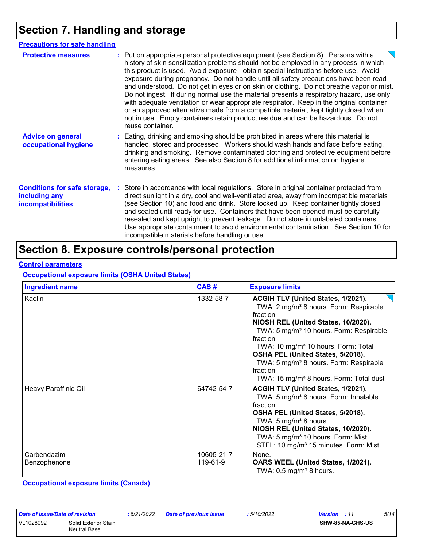# **Section 7. Handling and storage**

| <b>Precautions for safe handling</b>                                             |                                                                                                                                                                                                                                                                                                                                                                                                                                                                                                                                                                                                                                                                                                                                                                                                                                                 |
|----------------------------------------------------------------------------------|-------------------------------------------------------------------------------------------------------------------------------------------------------------------------------------------------------------------------------------------------------------------------------------------------------------------------------------------------------------------------------------------------------------------------------------------------------------------------------------------------------------------------------------------------------------------------------------------------------------------------------------------------------------------------------------------------------------------------------------------------------------------------------------------------------------------------------------------------|
| <b>Protective measures</b>                                                       | : Put on appropriate personal protective equipment (see Section 8). Persons with a<br>history of skin sensitization problems should not be employed in any process in which<br>this product is used. Avoid exposure - obtain special instructions before use. Avoid<br>exposure during pregnancy. Do not handle until all safety precautions have been read<br>and understood. Do not get in eyes or on skin or clothing. Do not breathe vapor or mist.<br>Do not ingest. If during normal use the material presents a respiratory hazard, use only<br>with adequate ventilation or wear appropriate respirator. Keep in the original container<br>or an approved alternative made from a compatible material, kept tightly closed when<br>not in use. Empty containers retain product residue and can be hazardous. Do not<br>reuse container. |
| <b>Advice on general</b><br>occupational hygiene                                 | : Eating, drinking and smoking should be prohibited in areas where this material is<br>handled, stored and processed. Workers should wash hands and face before eating,<br>drinking and smoking. Remove contaminated clothing and protective equipment before<br>entering eating areas. See also Section 8 for additional information on hygiene<br>measures.                                                                                                                                                                                                                                                                                                                                                                                                                                                                                   |
| <b>Conditions for safe storage,</b><br>including any<br><i>incompatibilities</i> | Store in accordance with local regulations. Store in original container protected from<br>direct sunlight in a dry, cool and well-ventilated area, away from incompatible materials<br>(see Section 10) and food and drink. Store locked up. Keep container tightly closed<br>and sealed until ready for use. Containers that have been opened must be carefully<br>resealed and kept upright to prevent leakage. Do not store in unlabeled containers.<br>Use appropriate containment to avoid environmental contamination. See Section 10 for<br>incompatible materials before handling or use.                                                                                                                                                                                                                                               |

### **Section 8. Exposure controls/personal protection**

#### **Control parameters**

#### **Occupational exposure limits (OSHA United States)**

| <b>Ingredient name</b>      | CAS#                   | <b>Exposure limits</b>                                                                                                                                                                                                                                                                                                                                                                                                          |
|-----------------------------|------------------------|---------------------------------------------------------------------------------------------------------------------------------------------------------------------------------------------------------------------------------------------------------------------------------------------------------------------------------------------------------------------------------------------------------------------------------|
| Kaolin                      | 1332-58-7              | ACGIH TLV (United States, 1/2021).<br>TWA: 2 mg/m <sup>3</sup> 8 hours. Form: Respirable<br>fraction<br>NIOSH REL (United States, 10/2020).<br>TWA: 5 mg/m <sup>3</sup> 10 hours. Form: Respirable<br>fraction<br>TWA: 10 mg/m <sup>3</sup> 10 hours. Form: Total<br>OSHA PEL (United States, 5/2018).<br>TWA: 5 mg/m <sup>3</sup> 8 hours. Form: Respirable<br>fraction<br>TWA: 15 mg/m <sup>3</sup> 8 hours. Form: Total dust |
| Heavy Paraffinic Oil        | 64742-54-7             | ACGIH TLV (United States, 1/2021).<br>TWA: 5 mg/m <sup>3</sup> 8 hours. Form: Inhalable<br>fraction<br>OSHA PEL (United States, 5/2018).<br>TWA: 5 mg/m <sup>3</sup> 8 hours.<br>NIOSH REL (United States, 10/2020).<br>TWA: 5 mg/m <sup>3</sup> 10 hours. Form: Mist<br>STEL: 10 mg/m <sup>3</sup> 15 minutes. Form: Mist                                                                                                      |
| Carbendazim<br>Benzophenone | 10605-21-7<br>119-61-9 | None.<br>OARS WEEL (United States, 1/2021).<br>TWA: $0.5 \,\mathrm{mg/m^3}$ 8 hours.                                                                                                                                                                                                                                                                                                                                            |

**Occupational exposure limits (Canada)**

| Date of issue/Date of revision |                                      | : 6/21/2022 | <b>Date of previous issue</b> | : 5/10/2022 | <b>Version</b> : 11 | 5/14 |
|--------------------------------|--------------------------------------|-------------|-------------------------------|-------------|---------------------|------|
| VL1028092                      | Solid Exterior Stain<br>Neutral Base |             |                               |             | SHW-85-NA-GHS-US    |      |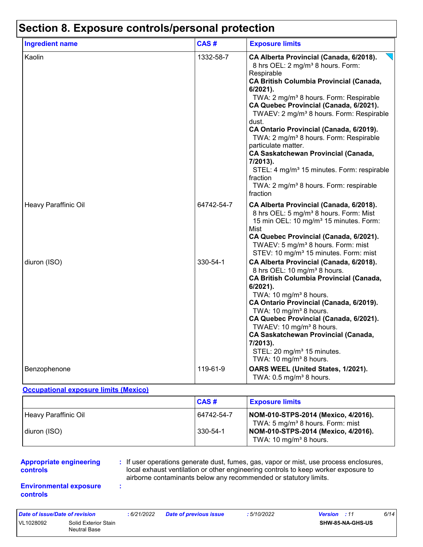### **Section 8. Exposure controls/personal protection**

| <b>Ingredient name</b> | CAS#       | <b>Exposure limits</b>                                                                                                                                                                                                                                                                                                                                                                                                                                                                                                                                                                                                                                          |
|------------------------|------------|-----------------------------------------------------------------------------------------------------------------------------------------------------------------------------------------------------------------------------------------------------------------------------------------------------------------------------------------------------------------------------------------------------------------------------------------------------------------------------------------------------------------------------------------------------------------------------------------------------------------------------------------------------------------|
| Kaolin                 | 1332-58-7  | CA Alberta Provincial (Canada, 6/2018).<br>8 hrs OEL: 2 mg/m <sup>3</sup> 8 hours. Form:<br>Respirable<br><b>CA British Columbia Provincial (Canada,</b><br>6/2021).<br>TWA: 2 mg/m <sup>3</sup> 8 hours. Form: Respirable<br>CA Quebec Provincial (Canada, 6/2021).<br>TWAEV: 2 mg/m <sup>3</sup> 8 hours. Form: Respirable<br>dust.<br>CA Ontario Provincial (Canada, 6/2019).<br>TWA: 2 mg/m <sup>3</sup> 8 hours. Form: Respirable<br>particulate matter.<br><b>CA Saskatchewan Provincial (Canada,</b><br>7/2013).<br>STEL: 4 mg/m <sup>3</sup> 15 minutes. Form: respirable<br>fraction<br>TWA: 2 mg/m <sup>3</sup> 8 hours. Form: respirable<br>fraction |
| Heavy Paraffinic Oil   | 64742-54-7 | CA Alberta Provincial (Canada, 6/2018).<br>8 hrs OEL: 5 mg/m <sup>3</sup> 8 hours. Form: Mist<br>15 min OEL: 10 mg/m <sup>3</sup> 15 minutes. Form:<br>Mist<br>CA Quebec Provincial (Canada, 6/2021).<br>TWAEV: 5 mg/m <sup>3</sup> 8 hours. Form: mist<br>STEV: 10 mg/m <sup>3</sup> 15 minutes. Form: mist                                                                                                                                                                                                                                                                                                                                                    |
| diuron (ISO)           | 330-54-1   | CA Alberta Provincial (Canada, 6/2018).<br>8 hrs OEL: 10 mg/m <sup>3</sup> 8 hours.<br><b>CA British Columbia Provincial (Canada,</b><br>$6/2021$ ).<br>TWA: 10 mg/m <sup>3</sup> 8 hours.<br>CA Ontario Provincial (Canada, 6/2019).<br>TWA: 10 mg/m <sup>3</sup> 8 hours.<br>CA Quebec Provincial (Canada, 6/2021).<br>TWAEV: 10 mg/m <sup>3</sup> 8 hours.<br><b>CA Saskatchewan Provincial (Canada,</b><br>7/2013).<br>STEL: 20 mg/m <sup>3</sup> 15 minutes.<br>TWA: 10 mg/m <sup>3</sup> 8 hours.                                                                                                                                                         |
| Benzophenone           | 119-61-9   | OARS WEEL (United States, 1/2021).<br>TWA: $0.5$ mg/m <sup>3</sup> 8 hours.                                                                                                                                                                                                                                                                                                                                                                                                                                                                                                                                                                                     |

#### **Occupational exposure limits (Mexico)**

**:**

|                      | CAS#       | <b>Exposure limits</b>                                                              |
|----------------------|------------|-------------------------------------------------------------------------------------|
| Heavy Paraffinic Oil | 64742-54-7 | NOM-010-STPS-2014 (Mexico, 4/2016).<br>TWA: 5 mg/m <sup>3</sup> 8 hours. Form: mist |
| diuron (ISO)         | 330-54-1   | NOM-010-STPS-2014 (Mexico, 4/2016).<br>TWA: 10 mg/m <sup>3</sup> 8 hours.           |

#### **Appropriate engineering controls**

**:** If user operations generate dust, fumes, gas, vapor or mist, use process enclosures, local exhaust ventilation or other engineering controls to keep worker exposure to airborne contaminants below any recommended or statutory limits.

#### **Environmental exposure controls**

| Date of issue/Date of revision |                                      | : 6/21/2022 | <b>Date of previous issue</b> | : 5/10/2022 | <b>Version</b> : 11 |                         | 6/14 |
|--------------------------------|--------------------------------------|-------------|-------------------------------|-------------|---------------------|-------------------------|------|
| VL1028092                      | Solid Exterior Stain<br>Neutral Base |             |                               |             |                     | <b>SHW-85-NA-GHS-US</b> |      |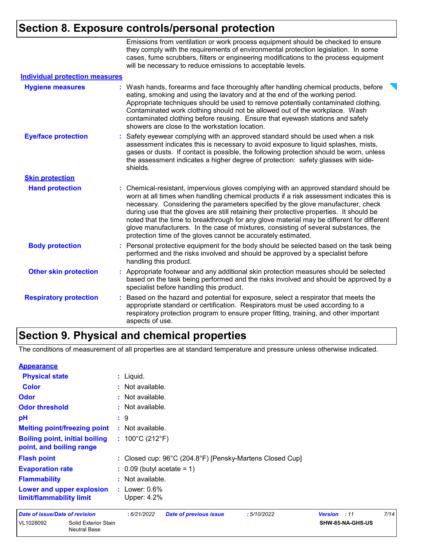### **Section 8. Exposure controls/personal protection**

Emissions from ventilation or work process equipment should be checked to ensure they comply with the requirements of environmental protection legislation. In some cases, fume scrubbers, filters or engineering modifications to the process equipment will be necessary to reduce emissions to acceptable levels.

| <b>Individual protection measures</b> |    |                                                                                                                                                                                                                                                                                                                                                                                                                                                                                                                                                                                                                        |
|---------------------------------------|----|------------------------------------------------------------------------------------------------------------------------------------------------------------------------------------------------------------------------------------------------------------------------------------------------------------------------------------------------------------------------------------------------------------------------------------------------------------------------------------------------------------------------------------------------------------------------------------------------------------------------|
| <b>Hygiene measures</b>               |    | : Wash hands, forearms and face thoroughly after handling chemical products, before<br>eating, smoking and using the lavatory and at the end of the working period.<br>Appropriate techniques should be used to remove potentially contaminated clothing.<br>Contaminated work clothing should not be allowed out of the workplace. Wash<br>contaminated clothing before reusing. Ensure that eyewash stations and safety<br>showers are close to the workstation location.                                                                                                                                            |
| <b>Eye/face protection</b>            |    | Safety eyewear complying with an approved standard should be used when a risk<br>assessment indicates this is necessary to avoid exposure to liquid splashes, mists,<br>gases or dusts. If contact is possible, the following protection should be worn, unless<br>the assessment indicates a higher degree of protection: safety glasses with side-<br>shields.                                                                                                                                                                                                                                                       |
| <b>Skin protection</b>                |    |                                                                                                                                                                                                                                                                                                                                                                                                                                                                                                                                                                                                                        |
| <b>Hand protection</b>                |    | : Chemical-resistant, impervious gloves complying with an approved standard should be<br>worn at all times when handling chemical products if a risk assessment indicates this is<br>necessary. Considering the parameters specified by the glove manufacturer, check<br>during use that the gloves are still retaining their protective properties. It should be<br>noted that the time to breakthrough for any glove material may be different for different<br>glove manufacturers. In the case of mixtures, consisting of several substances, the<br>protection time of the gloves cannot be accurately estimated. |
| <b>Body protection</b>                |    | : Personal protective equipment for the body should be selected based on the task being<br>performed and the risks involved and should be approved by a specialist before<br>handling this product.                                                                                                                                                                                                                                                                                                                                                                                                                    |
| <b>Other skin protection</b>          |    | : Appropriate footwear and any additional skin protection measures should be selected<br>based on the task being performed and the risks involved and should be approved by a<br>specialist before handling this product.                                                                                                                                                                                                                                                                                                                                                                                              |
| <b>Respiratory protection</b>         | ÷. | Based on the hazard and potential for exposure, select a respirator that meets the<br>appropriate standard or certification. Respirators must be used according to a<br>respiratory protection program to ensure proper fitting, training, and other important<br>aspects of use.                                                                                                                                                                                                                                                                                                                                      |

### **Section 9. Physical and chemical properties**

The conditions of measurement of all properties are at standard temperature and pressure unless otherwise indicated.

| <b>Appearance</b>                     |                                             |                                                          |                                       |                               |            |                |                  |      |  |
|---------------------------------------|---------------------------------------------|----------------------------------------------------------|---------------------------------------|-------------------------------|------------|----------------|------------------|------|--|
| <b>Physical state</b>                 |                                             |                                                          | $:$ Liquid.                           |                               |            |                |                  |      |  |
| <b>Color</b>                          |                                             |                                                          | : Not available.                      |                               |            |                |                  |      |  |
| Odor                                  |                                             |                                                          | : Not available.                      |                               |            |                |                  |      |  |
| <b>Odor threshold</b>                 |                                             |                                                          | : Not available.                      |                               |            |                |                  |      |  |
| pH                                    |                                             |                                                          | $\mathbf{.}9$                         |                               |            |                |                  |      |  |
|                                       | <b>Melting point/freezing point</b>         |                                                          | : Not available.                      |                               |            |                |                  |      |  |
| point, and boiling range              | <b>Boiling point, initial boiling</b>       |                                                          | : $100^{\circ}$ C (212 $^{\circ}$ F)  |                               |            |                |                  |      |  |
| <b>Flash point</b>                    |                                             | : Closed cup: 96°C (204.8°F) [Pensky-Martens Closed Cup] |                                       |                               |            |                |                  |      |  |
| <b>Evaporation rate</b>               |                                             |                                                          | $\therefore$ 0.09 (butyl acetate = 1) |                               |            |                |                  |      |  |
| <b>Flammability</b>                   |                                             |                                                          | : Not available.                      |                               |            |                |                  |      |  |
| limit/flammability limit              | Lower and upper explosion                   |                                                          | : Lower: $0.6\%$<br>Upper: 4.2%       |                               |            |                |                  |      |  |
| <b>Date of issue/Date of revision</b> |                                             |                                                          | :6/21/2022                            | <b>Date of previous issue</b> | :5/10/2022 | <b>Version</b> | :11              | 7/14 |  |
| VL1028092                             | Solid Exterior Stain<br><b>Neutral Base</b> |                                                          |                                       |                               |            |                | SHW-85-NA-GHS-US |      |  |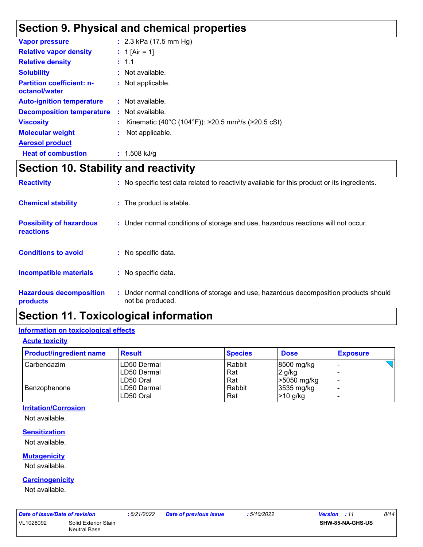### **Section 9. Physical and chemical properties**

| <b>Vapor pressure</b>                             | : $2.3$ kPa (17.5 mm Hg)                                         |
|---------------------------------------------------|------------------------------------------------------------------|
| <b>Relative vapor density</b>                     | : 1 [Air = 1]                                                    |
| <b>Relative density</b>                           | : 1.1                                                            |
| <b>Solubility</b>                                 | : Not available.                                                 |
| <b>Partition coefficient: n-</b><br>octanol/water | : Not applicable.                                                |
| <b>Auto-ignition temperature</b>                  | $:$ Not available.                                               |
| <b>Decomposition temperature</b>                  | $:$ Not available.                                               |
| <b>Viscosity</b>                                  | : Kinematic (40°C (104°F)): >20.5 mm <sup>2</sup> /s (>20.5 cSt) |
| <b>Molecular weight</b>                           | Not applicable.                                                  |
| <b>Aerosol product</b>                            |                                                                  |
| <b>Heat of combustion</b>                         | $: 1.508$ kJ/g                                                   |

### **Section 10. Stability and reactivity**

| <b>Reactivity</b>                                   | : No specific test data related to reactivity available for this product or its ingredients.              |
|-----------------------------------------------------|-----------------------------------------------------------------------------------------------------------|
| <b>Chemical stability</b>                           | : The product is stable.                                                                                  |
| <b>Possibility of hazardous</b><br><b>reactions</b> | : Under normal conditions of storage and use, hazardous reactions will not occur.                         |
| <b>Conditions to avoid</b>                          | : No specific data.                                                                                       |
| <b>Incompatible materials</b>                       | : No specific data.                                                                                       |
| <b>Hazardous decomposition</b><br>products          | : Under normal conditions of storage and use, hazardous decomposition products should<br>not be produced. |

### **Section 11. Toxicological information**

#### **Information on toxicological effects**

#### **Acute toxicity**

| <b>Product/ingredient name</b> | <b>Result</b> | <b>Species</b> | <b>Dose</b> | <b>Exposure</b> |
|--------------------------------|---------------|----------------|-------------|-----------------|
| Carbendazim                    | LD50 Dermal   | Rabbit         | 8500 mg/kg  |                 |
|                                | LD50 Dermal   | Rat            | $2$ g/kg    |                 |
|                                | LD50 Oral     | Rat            | >5050 mg/kg |                 |
| Benzophenone                   | LD50 Dermal   | Rabbit         | 3535 mg/kg  |                 |
|                                | LD50 Oral     | Rat            | >10 g/kg    |                 |

#### **Irritation/Corrosion**

Not available.

#### **Sensitization**

Not available.

#### **Mutagenicity**

Not available.

#### **Carcinogenicity**

Not available.

| Date of issue/Date of revision |                                      | : 6/21/2022 | <b>Date of previous issue</b> | 5/10/2022 | <b>Version</b> : 11 | 8/14 |
|--------------------------------|--------------------------------------|-------------|-------------------------------|-----------|---------------------|------|
| VL1028092                      | Solid Exterior Stain<br>Neutral Base |             |                               |           | SHW-85-NA-GHS-US    |      |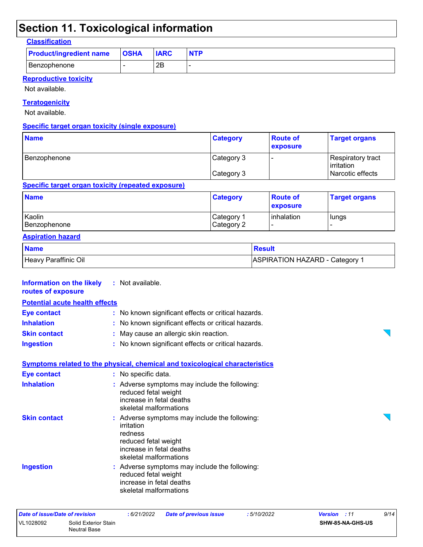### **Section 11. Toxicological information**

#### **Classification**

| <b>Product/ingredient name</b> | <b>OSHA</b> | <b>IARC</b> | <b>NTP</b> |
|--------------------------------|-------------|-------------|------------|
| <b>Benzophenone</b>            |             | 2B          |            |

#### **Reproductive toxicity**

Not available.

#### **Teratogenicity**

Not available.

#### **Specific target organ toxicity (single exposure)**

| <b>Name</b>  | <b>Category</b> | <b>Route of</b><br>exposure | <b>Target organs</b>                     |
|--------------|-----------------|-----------------------------|------------------------------------------|
| Benzophenone | Category 3      |                             | Respiratory tract<br><b>l</b> irritation |
|              | Category 3      |                             | Narcotic effects                         |

#### **Specific target organ toxicity (repeated exposure)**

| <b>Name</b>  | <b>Category</b>        | <b>Route of</b><br><b>exposure</b> | <b>Target organs</b> |
|--------------|------------------------|------------------------------------|----------------------|
| Kaolin       | ⊩Category <sup>≁</sup> | <b>linhalation</b>                 | lungs                |
| Benzophenone | Category 2             |                                    |                      |

#### **Aspiration hazard**

| <b>Name</b>          | <b>Result</b>                  |
|----------------------|--------------------------------|
| Heavy Paraffinic Oil | ASPIRATION HAZARD - Category 1 |

 $\overline{\phantom{0}}$ 

 $\overline{\phantom{0}}$ 

#### **Information on the likely routes of exposure Inhalation :** No known significant effects or critical hazards. **Skin contact :** May cause an allergic skin reaction. **Eye contact :** No known significant effects or critical hazards. **:** Not available. **Potential acute health effects**

**Ingestion :** No known significant effects or critical hazards.

### **Symptoms related to the physical, chemical and toxicological characteristics**

| <b>Eye contact</b>  | : No specific data.                                                                                                                                  |
|---------------------|------------------------------------------------------------------------------------------------------------------------------------------------------|
| <b>Inhalation</b>   | : Adverse symptoms may include the following:<br>reduced fetal weight<br>increase in fetal deaths<br>skeletal malformations                          |
| <b>Skin contact</b> | : Adverse symptoms may include the following:<br>irritation<br>redness<br>reduced fetal weight<br>increase in fetal deaths<br>skeletal malformations |
| <b>Ingestion</b>    | : Adverse symptoms may include the following:<br>reduced fetal weight<br>increase in fetal deaths                                                    |

skeletal malformations

| Date of issue/Date of revision |                                      | : 6/21/2022 | <b>Date of previous issue</b> | : 5/10/2022 | <b>Version</b> : 11     | 9/14 |
|--------------------------------|--------------------------------------|-------------|-------------------------------|-------------|-------------------------|------|
| VL1028092                      | Solid Exterior Stain<br>Neutral Base |             |                               |             | <b>SHW-85-NA-GHS-US</b> |      |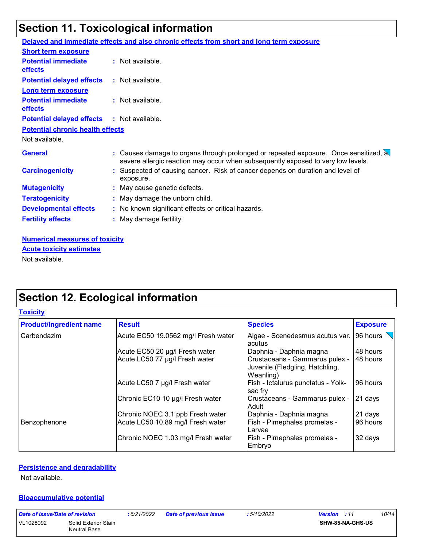# **Section 11. Toxicological information**

|                                              | Delayed and immediate effects and also chronic effects from short and long term exposure                                                                                 |
|----------------------------------------------|--------------------------------------------------------------------------------------------------------------------------------------------------------------------------|
| <b>Short term exposure</b>                   |                                                                                                                                                                          |
| <b>Potential immediate</b><br><b>effects</b> | : Not available.                                                                                                                                                         |
| <b>Potential delayed effects</b>             | : Not available.                                                                                                                                                         |
| <b>Long term exposure</b>                    |                                                                                                                                                                          |
| <b>Potential immediate</b><br>effects        | $:$ Not available.                                                                                                                                                       |
| <b>Potential delayed effects</b>             | : Not available.                                                                                                                                                         |
| <b>Potential chronic health effects</b>      |                                                                                                                                                                          |
| Not available.                               |                                                                                                                                                                          |
| <b>General</b>                               | : Causes damage to organs through prolonged or repeated exposure. Once sensitized, a<br>severe allergic reaction may occur when subsequently exposed to very low levels. |
| <b>Carcinogenicity</b>                       | : Suspected of causing cancer. Risk of cancer depends on duration and level of<br>exposure.                                                                              |
| <b>Mutagenicity</b>                          | : May cause genetic defects.                                                                                                                                             |
| <b>Teratogenicity</b>                        | : May damage the unborn child.                                                                                                                                           |
| <b>Developmental effects</b>                 | : No known significant effects or critical hazards.                                                                                                                      |
| <b>Fertility effects</b>                     | : May damage fertility.                                                                                                                                                  |
|                                              |                                                                                                                                                                          |
| Numorical mossures of toxicity               |                                                                                                                                                                          |

**Numerical measures of toxicity** Not available. **Acute toxicity estimates**

### **Section 12. Ecological information**

| Toxicitv |  |
|----------|--|
|          |  |

| <b>Product/ingredient name</b> | <b>Result</b>                       | <b>Species</b>                                                                 | <b>Exposure</b> |
|--------------------------------|-------------------------------------|--------------------------------------------------------------------------------|-----------------|
| Carbendazim                    | Acute EC50 19.0562 mg/l Fresh water | Algae - Scenedesmus acutus var.<br>acutus                                      | 96 hours        |
|                                | Acute EC50 20 µg/l Fresh water      | Daphnia - Daphnia magna                                                        | 48 hours        |
|                                | Acute LC50 77 µg/l Fresh water      | Crustaceans - Gammarus pulex -<br>Juvenile (Fledgling, Hatchling,<br>Weanling) | 48 hours        |
|                                | Acute LC50 7 µg/l Fresh water       | Fish - Ictalurus punctatus - Yolk-<br>sac fry                                  | 96 hours        |
|                                | Chronic EC10 10 µg/l Fresh water    | Crustaceans - Gammarus pulex -<br>Adult                                        | 21 days         |
|                                | Chronic NOEC 3.1 ppb Fresh water    | Daphnia - Daphnia magna                                                        | 21 days         |
| Benzophenone                   | Acute LC50 10.89 mg/l Fresh water   | Fish - Pimephales promelas -<br>Larvae                                         | 96 hours        |
|                                | Chronic NOEC 1.03 mg/l Fresh water  | Fish - Pimephales promelas -<br>Embryo                                         | 32 days         |

#### **Persistence and degradability**

Not available.

#### **Bioaccumulative potential**

*Date of issue/Date of revision* **:** *6/21/2022 Date of previous issue : 5/10/2022 Version : 11 10/14* VL1028092 Solid Exterior Stain Neutral Base **SHW-85-NA-GHS-US**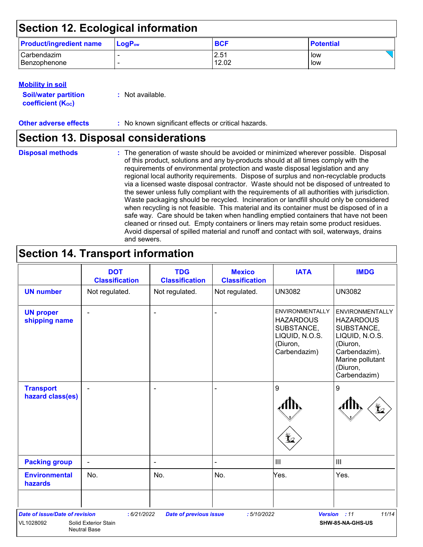### **Section 12. Ecological information**

| <b>Product/ingredient name</b> | $\mathsf{LogP}_\mathsf{ow}$ | <b>BCF</b> | <b>Potential</b> |
|--------------------------------|-----------------------------|------------|------------------|
| Carbendazim                    |                             | 2.51       | low              |
| l Benzophenone                 |                             | 12.02      | low              |

#### **Mobility in soil**

| <b>Soil/water partition</b> | : Not available. |
|-----------------------------|------------------|
| <b>coefficient (Koc)</b>    |                  |

**Other adverse effects :** No known significant effects or critical hazards.

### **Section 13. Disposal considerations**

|  | <b>Disposal methods</b> |  |
|--|-------------------------|--|
|  |                         |  |
|  |                         |  |

The generation of waste should be avoided or minimized wherever possible. Disposal **Disposal methods :** of this product, solutions and any by-products should at all times comply with the requirements of environmental protection and waste disposal legislation and any regional local authority requirements. Dispose of surplus and non-recyclable products via a licensed waste disposal contractor. Waste should not be disposed of untreated to the sewer unless fully compliant with the requirements of all authorities with jurisdiction. Waste packaging should be recycled. Incineration or landfill should only be considered when recycling is not feasible. This material and its container must be disposed of in a safe way. Care should be taken when handling emptied containers that have not been cleaned or rinsed out. Empty containers or liners may retain some product residues. Avoid dispersal of spilled material and runoff and contact with soil, waterways, drains and sewers.

### **Section 14. Transport information**

|                                                    | <b>DOT</b><br><b>Classification</b>                        | <b>TDG</b><br><b>Classification</b> | <b>Mexico</b><br><b>Classification</b> | <b>IATA</b>                                                                                     | <b>IMDG</b>                                                                                                                                             |
|----------------------------------------------------|------------------------------------------------------------|-------------------------------------|----------------------------------------|-------------------------------------------------------------------------------------------------|---------------------------------------------------------------------------------------------------------------------------------------------------------|
| <b>UN number</b>                                   | Not regulated.                                             | Not regulated.                      | Not regulated.                         | <b>UN3082</b>                                                                                   | <b>UN3082</b>                                                                                                                                           |
| <b>UN proper</b><br>shipping name                  |                                                            |                                     |                                        | ENVIRONMENTALLY<br><b>HAZARDOUS</b><br>SUBSTANCE,<br>LIQUID, N.O.S.<br>(Diuron,<br>Carbendazim) | <b>ENVIRONMENTALLY</b><br><b>HAZARDOUS</b><br>SUBSTANCE,<br>LIQUID, N.O.S.<br>(Diuron,<br>Carbendazim).<br>Marine pollutant<br>(Diuron,<br>Carbendazim) |
| <b>Transport</b><br>hazard class(es)               |                                                            | ۰                                   |                                        | 9                                                                                               | $\boldsymbol{9}$                                                                                                                                        |
| <b>Packing group</b>                               | $\overline{\phantom{a}}$                                   | $\blacksquare$                      |                                        | $\mathbf{III}$                                                                                  | $\mathbf{III}$                                                                                                                                          |
| <b>Environmental</b><br>hazards                    | No.                                                        | No.                                 | No.                                    | Yes.                                                                                            | Yes.                                                                                                                                                    |
| <b>Date of issue/Date of revision</b><br>VL1028092 | : 6/21/2022<br>Solid Exterior Stain<br><b>Neutral Base</b> | <b>Date of previous issue</b>       | : 5/10/2022                            |                                                                                                 | 11/14<br>Version : 11<br>SHW-85-NA-GHS-US                                                                                                               |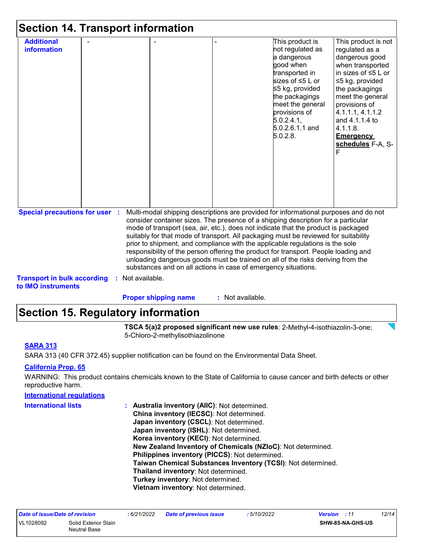| <b>Section 14. Transport information</b>                                    |                  |                             |                                                                                                                                                                                                                                                                                                                                                                                                                                                                                                                                                                                                                                                                                     |                                                                                                                                                                                                                             |                                                                                                                                                                                                                                                                               |
|-----------------------------------------------------------------------------|------------------|-----------------------------|-------------------------------------------------------------------------------------------------------------------------------------------------------------------------------------------------------------------------------------------------------------------------------------------------------------------------------------------------------------------------------------------------------------------------------------------------------------------------------------------------------------------------------------------------------------------------------------------------------------------------------------------------------------------------------------|-----------------------------------------------------------------------------------------------------------------------------------------------------------------------------------------------------------------------------|-------------------------------------------------------------------------------------------------------------------------------------------------------------------------------------------------------------------------------------------------------------------------------|
| <b>Additional</b><br><b>information</b>                                     |                  |                             |                                                                                                                                                                                                                                                                                                                                                                                                                                                                                                                                                                                                                                                                                     | This product is<br>not regulated as<br>a dangerous<br>good when<br>transported in<br>sizes of ≤5 L or<br>≤5 kg, provided<br>the packagings<br>meet the general<br>provisions of<br>5.0.2.4.1<br>5.0.2.6.1.1 and<br>5.0.2.8. | This product is not<br>regulated as a<br>dangerous good<br>when transported<br>in sizes of $\leq 5$ L or<br>≤5 kg, provided<br>the packagings<br>meet the general<br>provisions of<br>4.1.1.1, 4.1.1.2<br>and 4.1.1.4 to<br>4.1.1.8.<br><b>Emergency</b><br>schedules F-A, S- |
| <b>Special precautions for user :</b><br><b>Transport in bulk according</b> | : Not available. |                             | Multi-modal shipping descriptions are provided for informational purposes and do not<br>consider container sizes. The presence of a shipping description for a particular<br>mode of transport (sea, air, etc.), does not indicate that the product is packaged<br>suitably for that mode of transport. All packaging must be reviewed for suitability<br>prior to shipment, and compliance with the applicable regulations is the sole<br>responsibility of the person offering the product for transport. People loading and<br>unloading dangerous goods must be trained on all of the risks deriving from the<br>substances and on all actions in case of emergency situations. |                                                                                                                                                                                                                             |                                                                                                                                                                                                                                                                               |
| to IMO instruments                                                          |                  | <b>Proper shipping name</b> | : Not available.                                                                                                                                                                                                                                                                                                                                                                                                                                                                                                                                                                                                                                                                    |                                                                                                                                                                                                                             |                                                                                                                                                                                                                                                                               |

### **Section 15. Regulatory information**

**TSCA 5(a)2 proposed significant new use rules**: 2-Methyl-4-isothiazolin-3-one; 5-Chloro-2-methylisothiazolinone

 $\sum$ 

#### **SARA 313**

SARA 313 (40 CFR 372.45) supplier notification can be found on the Environmental Data Sheet.

#### **California Prop. 65**

WARNING: This product contains chemicals known to the State of California to cause cancer and birth defects or other reproductive harm.

| <b>International regulations</b> |                                                              |
|----------------------------------|--------------------------------------------------------------|
| <b>International lists</b>       | <b>Australia inventory (AIIC): Not determined.</b>           |
|                                  | China inventory (IECSC): Not determined.                     |
|                                  | Japan inventory (CSCL): Not determined.                      |
|                                  | Japan inventory (ISHL): Not determined.                      |
|                                  | Korea inventory (KECI): Not determined.                      |
|                                  | New Zealand Inventory of Chemicals (NZIoC): Not determined.  |
|                                  | Philippines inventory (PICCS): Not determined.               |
|                                  | Taiwan Chemical Substances Inventory (TCSI): Not determined. |
|                                  | Thailand inventory: Not determined.                          |
|                                  | Turkey inventory: Not determined.                            |
|                                  | Vietnam inventory: Not determined.                           |
|                                  |                                                              |

| Date of issue/Date of revision |                                             | : 6/21/2022 | <b>Date of previous issue</b> | : 5/10/2022 | <b>Version</b> : 11 |                  | 12/14 |
|--------------------------------|---------------------------------------------|-------------|-------------------------------|-------------|---------------------|------------------|-------|
| VL1028092                      | Solid Exterior Stain<br><b>Neutral Base</b> |             |                               |             |                     | SHW-85-NA-GHS-US |       |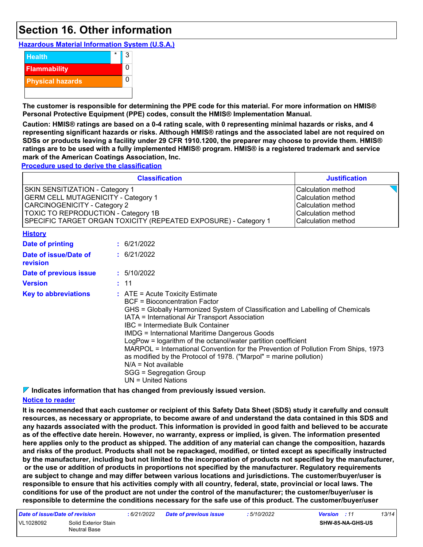### **Section 16. Other information**

**Hazardous Material Information System (U.S.A.)**



**The customer is responsible for determining the PPE code for this material. For more information on HMIS® Personal Protective Equipment (PPE) codes, consult the HMIS® Implementation Manual.**

**Caution: HMIS® ratings are based on a 0-4 rating scale, with 0 representing minimal hazards or risks, and 4 representing significant hazards or risks. Although HMIS® ratings and the associated label are not required on SDSs or products leaving a facility under 29 CFR 1910.1200, the preparer may choose to provide them. HMIS® ratings are to be used with a fully implemented HMIS® program. HMIS® is a registered trademark and service mark of the American Coatings Association, Inc.**

**Procedure used to derive the classification**

|                                                                                                                                                                                                                                                                                                                                                                                                                                                                                                                                                                                                                                                    | <b>Justification</b>                                                                                              |             |  |
|----------------------------------------------------------------------------------------------------------------------------------------------------------------------------------------------------------------------------------------------------------------------------------------------------------------------------------------------------------------------------------------------------------------------------------------------------------------------------------------------------------------------------------------------------------------------------------------------------------------------------------------------------|-------------------------------------------------------------------------------------------------------------------|-------------|--|
| SKIN SENSITIZATION - Category 1<br><b>GERM CELL MUTAGENICITY - Category 1</b><br><b>CARCINOGENICITY - Category 2</b><br>TOXIC TO REPRODUCTION - Category 1B<br>SPECIFIC TARGET ORGAN TOXICITY (REPEATED EXPOSURE) - Category 1                                                                                                                                                                                                                                                                                                                                                                                                                     | Calculation method<br>Calculation method<br><b>Calculation method</b><br>Calculation method<br>Calculation method |             |  |
| <b>History</b>                                                                                                                                                                                                                                                                                                                                                                                                                                                                                                                                                                                                                                     |                                                                                                                   |             |  |
| <b>Date of printing</b>                                                                                                                                                                                                                                                                                                                                                                                                                                                                                                                                                                                                                            |                                                                                                                   | : 6/21/2022 |  |
| Date of issue/Date of<br>revision                                                                                                                                                                                                                                                                                                                                                                                                                                                                                                                                                                                                                  |                                                                                                                   | : 6/21/2022 |  |
| Date of previous issue                                                                                                                                                                                                                                                                                                                                                                                                                                                                                                                                                                                                                             |                                                                                                                   | : 5/10/2022 |  |
| <b>Version</b>                                                                                                                                                                                                                                                                                                                                                                                                                                                                                                                                                                                                                                     |                                                                                                                   | : 11        |  |
| <b>Key to abbreviations</b><br>$:$ ATE = Acute Toxicity Estimate<br><b>BCF</b> = Bioconcentration Factor<br>GHS = Globally Harmonized System of Classification and Labelling of Chemicals<br>IATA = International Air Transport Association<br>IBC = Intermediate Bulk Container<br><b>IMDG = International Maritime Dangerous Goods</b><br>LogPow = logarithm of the octanol/water partition coefficient<br>MARPOL = International Convention for the Prevention of Pollution From Ships, 1973<br>as modified by the Protocol of 1978. ("Marpol" = marine pollution)<br>$N/A = Not available$<br>SGG = Segregation Group<br>$UN = United Nations$ |                                                                                                                   |             |  |

**Indicates information that has changed from previously issued version.**

#### **Notice to reader**

**It is recommended that each customer or recipient of this Safety Data Sheet (SDS) study it carefully and consult resources, as necessary or appropriate, to become aware of and understand the data contained in this SDS and any hazards associated with the product. This information is provided in good faith and believed to be accurate as of the effective date herein. However, no warranty, express or implied, is given. The information presented here applies only to the product as shipped. The addition of any material can change the composition, hazards and risks of the product. Products shall not be repackaged, modified, or tinted except as specifically instructed by the manufacturer, including but not limited to the incorporation of products not specified by the manufacturer, or the use or addition of products in proportions not specified by the manufacturer. Regulatory requirements are subject to change and may differ between various locations and jurisdictions. The customer/buyer/user is responsible to ensure that his activities comply with all country, federal, state, provincial or local laws. The conditions for use of the product are not under the control of the manufacturer; the customer/buyer/user is responsible to determine the conditions necessary for the safe use of this product. The customer/buyer/user** 

| Date of issue/Date of revision |                                      | : 6/21/2022 | <b>Date of previous issue</b> | : 5/10/2022 | <b>Version</b> : 11 |                         | 13/14 |
|--------------------------------|--------------------------------------|-------------|-------------------------------|-------------|---------------------|-------------------------|-------|
| VL1028092                      | Solid Exterior Stain<br>Neutral Base |             |                               |             |                     | <b>SHW-85-NA-GHS-US</b> |       |